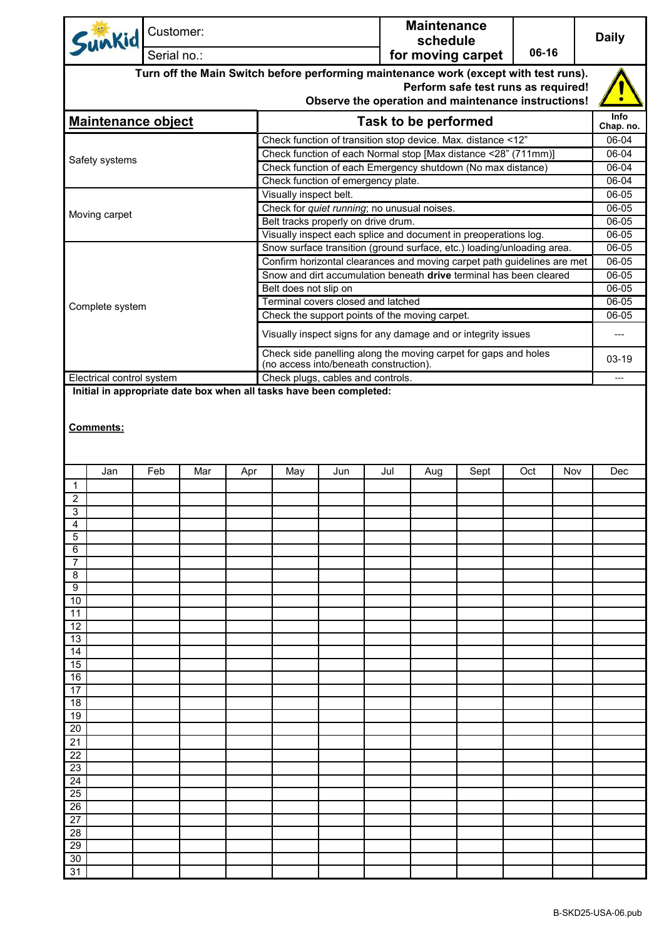| Sunkid                                                                                                                                                                             |     | Customer:   |     |     |                                                                                                                                |     |     | <b>Maintenance</b><br>schedule |                                                                         | 06-16 |     | <b>Daily</b>             |
|------------------------------------------------------------------------------------------------------------------------------------------------------------------------------------|-----|-------------|-----|-----|--------------------------------------------------------------------------------------------------------------------------------|-----|-----|--------------------------------|-------------------------------------------------------------------------|-------|-----|--------------------------|
|                                                                                                                                                                                    |     | Serial no.: |     |     |                                                                                                                                |     |     |                                | for moving carpet                                                       |       |     |                          |
| Turn off the Main Switch before performing maintenance work (except with test runs).<br>Perform safe test runs as required!<br>Observe the operation and maintenance instructions! |     |             |     |     |                                                                                                                                |     |     |                                |                                                                         |       |     |                          |
| <b>Maintenance object</b>                                                                                                                                                          |     |             |     |     | <b>Task to be performed</b>                                                                                                    |     |     |                                |                                                                         |       |     | <b>Info</b><br>Chap. no. |
|                                                                                                                                                                                    |     |             |     |     |                                                                                                                                |     |     |                                |                                                                         |       |     | 06-04                    |
|                                                                                                                                                                                    |     |             |     |     | Check function of transition stop device. Max. distance <12"<br>Check function of each Normal stop [Max distance <28" (711mm)] |     |     |                                |                                                                         |       |     | 06-04                    |
| Safety systems                                                                                                                                                                     |     |             |     |     |                                                                                                                                |     |     |                                | Check function of each Emergency shutdown (No max distance)             |       |     | 06-04                    |
|                                                                                                                                                                                    |     |             |     |     | Check function of emergency plate.                                                                                             |     |     |                                |                                                                         |       |     | 06-04<br>06-05           |
|                                                                                                                                                                                    |     |             |     |     | Visually inspect belt.<br>Check for quiet running; no unusual noises.                                                          |     |     |                                |                                                                         |       |     |                          |
| Moving carpet                                                                                                                                                                      |     |             |     |     |                                                                                                                                |     |     |                                |                                                                         |       |     | 06-05                    |
|                                                                                                                                                                                    |     |             |     |     | Belt tracks properly on drive drum.                                                                                            |     |     |                                | Visually inspect each splice and document in preoperations log.         |       |     | 06-05<br>06-05           |
|                                                                                                                                                                                    |     |             |     |     |                                                                                                                                |     |     |                                | Snow surface transition (ground surface, etc.) loading/unloading area.  |       |     | 06-05                    |
|                                                                                                                                                                                    |     |             |     |     |                                                                                                                                |     |     |                                | Confirm horizontal clearances and moving carpet path guidelines are met |       |     | 06-05                    |
|                                                                                                                                                                                    |     |             |     |     |                                                                                                                                |     |     |                                | Snow and dirt accumulation beneath drive terminal has been cleared      |       |     | $06 - 05$                |
|                                                                                                                                                                                    |     |             |     |     | Belt does not slip on                                                                                                          |     |     |                                |                                                                         |       |     | $06 - 05$                |
| Complete system                                                                                                                                                                    |     |             |     |     | Terminal covers closed and latched                                                                                             |     |     |                                |                                                                         |       |     | 06-05                    |
|                                                                                                                                                                                    |     |             |     |     | Check the support points of the moving carpet.                                                                                 |     |     |                                |                                                                         |       |     | 06-05                    |
|                                                                                                                                                                                    |     |             |     |     |                                                                                                                                |     |     |                                | Visually inspect signs for any damage and or integrity issues           |       |     | $\cdots$                 |
|                                                                                                                                                                                    |     |             |     |     | Check side panelling along the moving carpet for gaps and holes<br>(no access into/beneath construction).                      |     |     |                                |                                                                         |       |     | 03-19                    |
| Electrical control system                                                                                                                                                          |     |             |     |     | Check plugs, cables and controls.<br>Initial in appropriate date box when all tasks have been completed:                       |     |     |                                |                                                                         |       |     | ---                      |
| Comments:                                                                                                                                                                          |     |             |     |     |                                                                                                                                |     |     |                                |                                                                         |       |     |                          |
|                                                                                                                                                                                    | Jan | Feb         | Mar | Apr | May                                                                                                                            | Jun | Jul | Aug                            | Sept                                                                    | Oct   | Nov | Dec                      |
| $\mathbf{1}$                                                                                                                                                                       |     |             |     |     |                                                                                                                                |     |     |                                |                                                                         |       |     |                          |
| $\overline{2}$<br>3                                                                                                                                                                |     |             |     |     |                                                                                                                                |     |     |                                |                                                                         |       |     |                          |
| 4                                                                                                                                                                                  |     |             |     |     |                                                                                                                                |     |     |                                |                                                                         |       |     |                          |
| 5                                                                                                                                                                                  |     |             |     |     |                                                                                                                                |     |     |                                |                                                                         |       |     |                          |
| 6                                                                                                                                                                                  |     |             |     |     |                                                                                                                                |     |     |                                |                                                                         |       |     |                          |
| 7<br>8                                                                                                                                                                             |     |             |     |     |                                                                                                                                |     |     |                                |                                                                         |       |     |                          |
| 9                                                                                                                                                                                  |     |             |     |     |                                                                                                                                |     |     |                                |                                                                         |       |     |                          |
| 10                                                                                                                                                                                 |     |             |     |     |                                                                                                                                |     |     |                                |                                                                         |       |     |                          |
| 11                                                                                                                                                                                 |     |             |     |     |                                                                                                                                |     |     |                                |                                                                         |       |     |                          |
| 12<br>13                                                                                                                                                                           |     |             |     |     |                                                                                                                                |     |     |                                |                                                                         |       |     |                          |
| 14                                                                                                                                                                                 |     |             |     |     |                                                                                                                                |     |     |                                |                                                                         |       |     |                          |
| 15                                                                                                                                                                                 |     |             |     |     |                                                                                                                                |     |     |                                |                                                                         |       |     |                          |
| 16                                                                                                                                                                                 |     |             |     |     |                                                                                                                                |     |     |                                |                                                                         |       |     |                          |
| 17                                                                                                                                                                                 |     |             |     |     |                                                                                                                                |     |     |                                |                                                                         |       |     |                          |
| 18<br>19                                                                                                                                                                           |     |             |     |     |                                                                                                                                |     |     |                                |                                                                         |       |     |                          |
| 20                                                                                                                                                                                 |     |             |     |     |                                                                                                                                |     |     |                                |                                                                         |       |     |                          |
| 21                                                                                                                                                                                 |     |             |     |     |                                                                                                                                |     |     |                                |                                                                         |       |     |                          |
| 22                                                                                                                                                                                 |     |             |     |     |                                                                                                                                |     |     |                                |                                                                         |       |     |                          |
| 23                                                                                                                                                                                 |     |             |     |     |                                                                                                                                |     |     |                                |                                                                         |       |     |                          |
| 24<br>25                                                                                                                                                                           |     |             |     |     |                                                                                                                                |     |     |                                |                                                                         |       |     |                          |
| 26                                                                                                                                                                                 |     |             |     |     |                                                                                                                                |     |     |                                |                                                                         |       |     |                          |
| 27                                                                                                                                                                                 |     |             |     |     |                                                                                                                                |     |     |                                |                                                                         |       |     |                          |
| 28                                                                                                                                                                                 |     |             |     |     |                                                                                                                                |     |     |                                |                                                                         |       |     |                          |
| 29                                                                                                                                                                                 |     |             |     |     |                                                                                                                                |     |     |                                |                                                                         |       |     |                          |
| 30<br>31                                                                                                                                                                           |     |             |     |     |                                                                                                                                |     |     |                                |                                                                         |       |     |                          |
|                                                                                                                                                                                    |     |             |     |     |                                                                                                                                |     |     |                                |                                                                         |       |     |                          |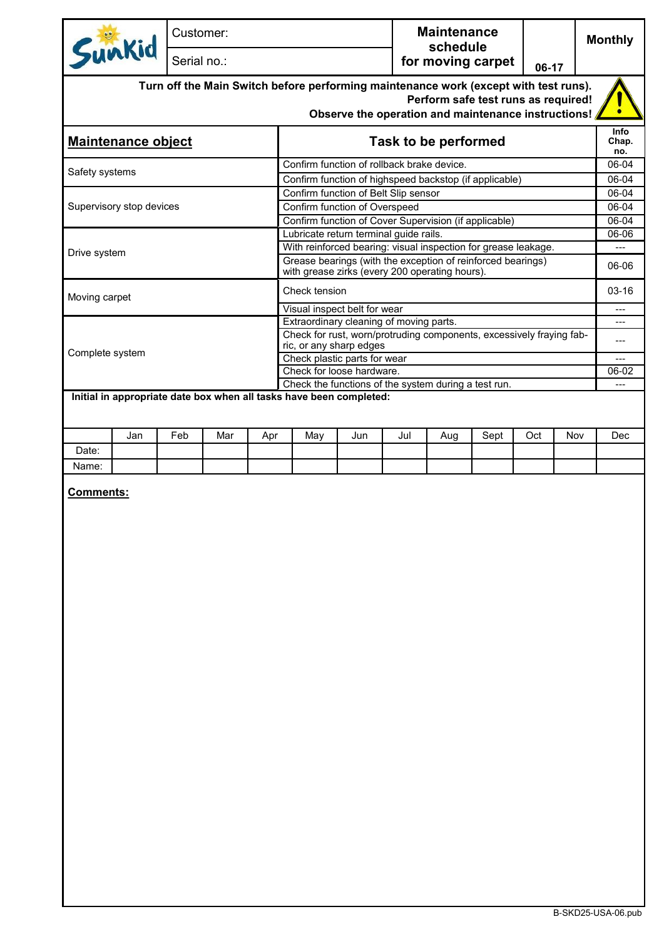| Sunkid                    |     | Customer:   |     |                                                                                                                 |                                                     |     | <b>Maintenance</b><br>schedule |                                     |                      |     | <b>Monthly</b> |
|---------------------------|-----|-------------|-----|-----------------------------------------------------------------------------------------------------------------|-----------------------------------------------------|-----|--------------------------------|-------------------------------------|----------------------|-----|----------------|
|                           |     | Serial no.: |     |                                                                                                                 |                                                     |     |                                | for moving carpet                   | 06-17                |     |                |
|                           |     |             |     | Turn off the Main Switch before performing maintenance work (except with test runs).                            | Observe the operation and maintenance instructions! |     |                                | Perform safe test runs as required! |                      |     |                |
| <b>Maintenance object</b> |     |             |     |                                                                                                                 | <b>Task to be performed</b>                         |     |                                |                                     | Info<br>Chap.<br>no. |     |                |
| Safety systems            |     |             |     | Confirm function of rollback brake device.                                                                      |                                                     |     |                                |                                     |                      |     | 06-04          |
|                           |     |             |     | Confirm function of highspeed backstop (if applicable)                                                          |                                                     |     |                                |                                     |                      |     | 06-04          |
|                           |     |             |     | Confirm function of Belt Slip sensor                                                                            |                                                     |     |                                |                                     |                      |     | 06-04          |
| Supervisory stop devices  |     |             |     | Confirm function of Overspeed                                                                                   |                                                     |     |                                |                                     |                      |     | 06-04          |
|                           |     |             |     | Confirm function of Cover Supervision (if applicable)<br>Lubricate return terminal guide rails.                 |                                                     |     |                                |                                     |                      |     | 06-04<br>06-06 |
|                           |     |             |     | With reinforced bearing: visual inspection for grease leakage.                                                  |                                                     |     |                                |                                     |                      |     |                |
| Drive system              |     |             |     | Grease bearings (with the exception of reinforced bearings)<br>with grease zirks (every 200 operating hours).   |                                                     |     |                                |                                     |                      |     | 06-06          |
| Moving carpet             |     |             |     | Check tension                                                                                                   |                                                     |     |                                |                                     |                      |     | $03-16$        |
|                           |     |             |     | Visual inspect belt for wear                                                                                    |                                                     |     |                                |                                     |                      |     | $\overline{a}$ |
|                           |     |             |     | Extraordinary cleaning of moving parts.<br>Check for rust, worn/protruding components, excessively fraying fab- |                                                     |     |                                |                                     |                      |     | ---            |
|                           |     |             |     | ric, or any sharp edges                                                                                         |                                                     |     |                                |                                     |                      |     | ---            |
| Complete system           |     |             |     | Check plastic parts for wear                                                                                    |                                                     |     |                                |                                     |                      |     | ---            |
|                           |     |             |     | Check for loose hardware.<br>Check the functions of the system during a test run.                               |                                                     |     |                                |                                     |                      |     | 06-02          |
| Jan<br>Date:<br>Name:     | Feb | Mar         | Apr | May                                                                                                             | Jun                                                 | Jul | Aug                            | Sept                                | Oct                  | Nov | Dec            |
| <b>Comments:</b>          |     |             |     |                                                                                                                 |                                                     |     |                                |                                     |                      |     |                |